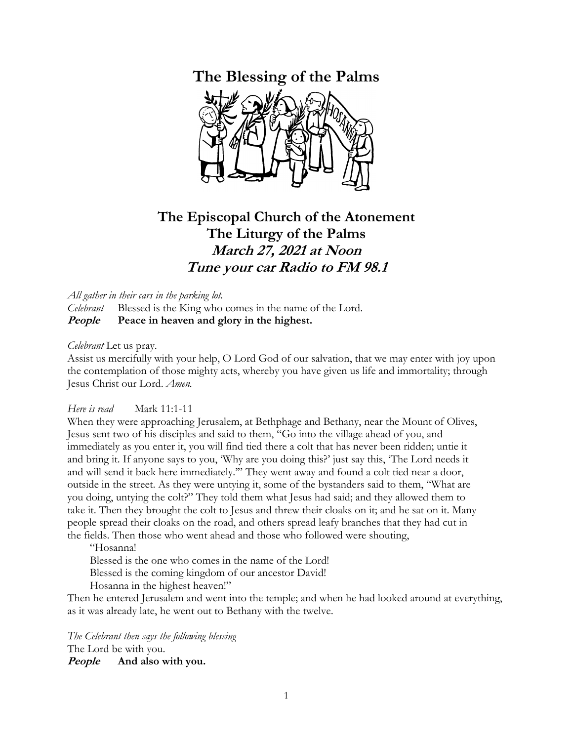## **The Blessing of the Palms**



## **The Episcopal Church of the Atonement The Liturgy of the Palms March 27, 2021 at Noon Tune your car Radio to FM 98.1**

*All gather in their cars in the parking lot.*

*Celebrant* Blessed is the King who comes in the name of the Lord. **People Peace in heaven and glory in the highest.**

*Celebrant* Let us pray.

Assist us mercifully with your help, O Lord God of our salvation, that we may enter with joy upon the contemplation of those mighty acts, whereby you have given us life and immortality; through Jesus Christ our Lord. *Amen.*

## *Here is read* Mark 11:1-11

When they were approaching Jerusalem, at Bethphage and Bethany, near the Mount of Olives, Jesus sent two of his disciples and said to them, "Go into the village ahead of you, and immediately as you enter it, you will find tied there a colt that has never been ridden; untie it and bring it. If anyone says to you, 'Why are you doing this?' just say this, 'The Lord needs it and will send it back here immediately.'" They went away and found a colt tied near a door, outside in the street. As they were untying it, some of the bystanders said to them, "What are you doing, untying the colt?" They told them what Jesus had said; and they allowed them to take it. Then they brought the colt to Jesus and threw their cloaks on it; and he sat on it. Many people spread their cloaks on the road, and others spread leafy branches that they had cut in the fields. Then those who went ahead and those who followed were shouting,

"Hosanna!

Blessed is the one who comes in the name of the Lord! Blessed is the coming kingdom of our ancestor David! Hosanna in the highest heaven!"

Then he entered Jerusalem and went into the temple; and when he had looked around at everything, as it was already late, he went out to Bethany with the twelve.

*The Celebrant then says the following blessing*  The Lord be with you.

**People And also with you.**